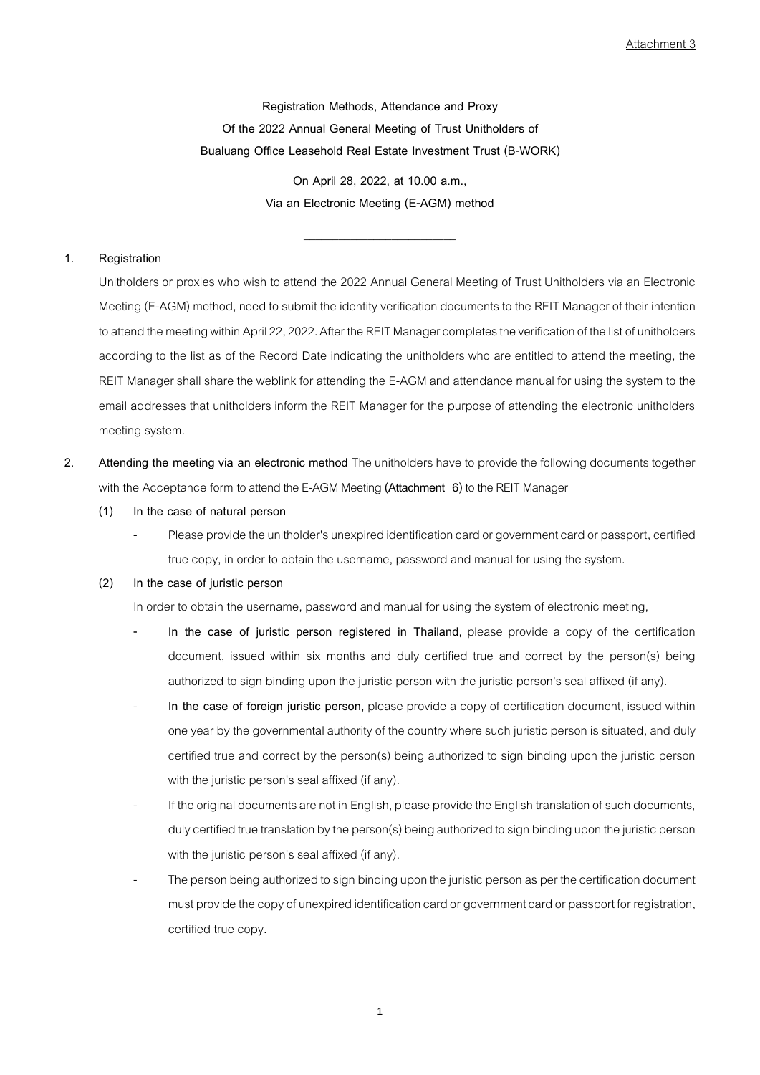**Registration Methods, Attendance and Proxy Of the 2022 Annual General Meeting of Trust Unitholders of Bualuang Office Leasehold Real Estate Investment Trust (B-WORK)**

> **On April 28, 2022, at 10.00 a.m., Via an Electronic Meeting (E-AGM) method**

> > $\overline{\phantom{a}}$  , where  $\overline{\phantom{a}}$

#### **1. Registration**

Unitholders or proxies who wish to attend the 2022 Annual General Meeting of Trust Unitholders via an Electronic Meeting (E-AGM) method, need to submit the identity verification documents to the REIT Manager of their intention to attend the meeting within April 22, 2022. After the REIT Manager completes the verification of the list of unitholders according to the list as of the Record Date indicating the unitholders who are entitled to attend the meeting, the REIT Manager shall share the weblink for attending the E-AGM and attendance manual for using the system to the email addresses that unitholders inform the REIT Manager for the purpose of attending the electronic unitholders meeting system.

- **2. Attending the meeting via an electronic method** The unitholders have to provide the following documents together with the Acceptance form to attend the E-AGM Meeting **(Attachment 6)** to the REIT Manager
	- **(1) In the case of natural person**
		- Please provide the unitholder's unexpired identification card or government card or passport, certified true copy, in order to obtain the username, password and manual for using the system.

#### **(2) In the case of juristic person**

In order to obtain the username, password and manual for using the system of electronic meeting,

- **- In the case of juristic person registered in Thailand,** please provide a copy of the certification document, issued within six months and duly certified true and correct by the person(s) being authorized to sign binding upon the juristic person with the juristic person's seal affixed (if any).
- **In the case of foreign juristic person,** please provide a copy of certification document, issued within one year by the governmental authority of the country where such juristic person is situated, and duly certified true and correct by the person(s) being authorized to sign binding upon the juristic person with the juristic person's seal affixed (if any).
- If the original documents are not in English, please provide the English translation of such documents, duly certified true translation by the person(s) being authorized to sign binding upon the juristic person with the juristic person's seal affixed (if any).
- The person being authorized to sign binding upon the juristic person as per the certification document must provide the copy of unexpired identification card or government card or passport for registration, certified true copy.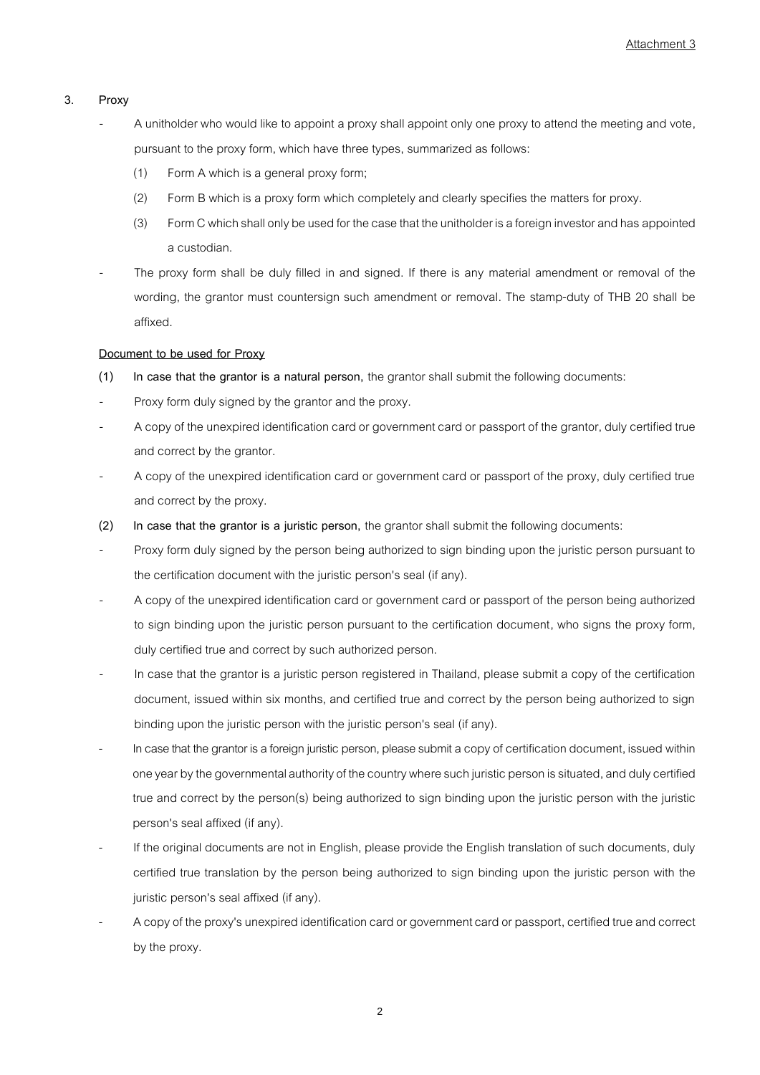Attachment 3

# **3. Proxy**

- A unitholder who would like to appoint a proxy shall appoint only one proxy to attend the meeting and vote, pursuant to the proxy form, which have three types, summarized as follows:
	- (1) Form A which is a general proxy form;
	- (2) Form B which is a proxy form which completely and clearly specifies the matters for proxy.
	- (3) Form C which shall only be used for the case that the unitholder is a foreign investor and has appointed a custodian.
- The proxy form shall be duly filled in and signed. If there is any material amendment or removal of the wording, the grantor must countersign such amendment or removal. The stamp-duty of THB 20 shall be affixed.

## **Document to be used for Proxy**

- **(1) In case that the grantor is a natural person,** the grantor shall submit the following documents:
- Proxy form duly signed by the grantor and the proxy.
- A copy of the unexpired identification card or government card or passport of the grantor, duly certified true and correct by the grantor.
- A copy of the unexpired identification card or government card or passport of the proxy, duly certified true and correct by the proxy.
- **(2) In case that the grantor is a juristic person,** the grantor shall submit the following documents:
- Proxy form duly signed by the person being authorized to sign binding upon the juristic person pursuant to the certification document with the juristic person's seal (if any).
- A copy of the unexpired identification card or government card or passport of the person being authorized to sign binding upon the juristic person pursuant to the certification document, who signs the proxy form, duly certified true and correct by such authorized person.
- In case that the grantor is a juristic person registered in Thailand, please submit a copy of the certification document, issued within six months, and certified true and correct by the person being authorized to sign binding upon the juristic person with the juristic person's seal (if any).
- In case that the grantor is a foreign juristic person, please submit a copy of certification document, issued within one year by the governmental authority of the country where such juristic person is situated, and duly certified true and correct by the person(s) being authorized to sign binding upon the juristic person with the juristic person's seal affixed (if any).
- If the original documents are not in English, please provide the English translation of such documents, duly certified true translation by the person being authorized to sign binding upon the juristic person with the juristic person's seal affixed (if any).
- A copy of the proxy's unexpired identification card or government card or passport, certified true and correct by the proxy.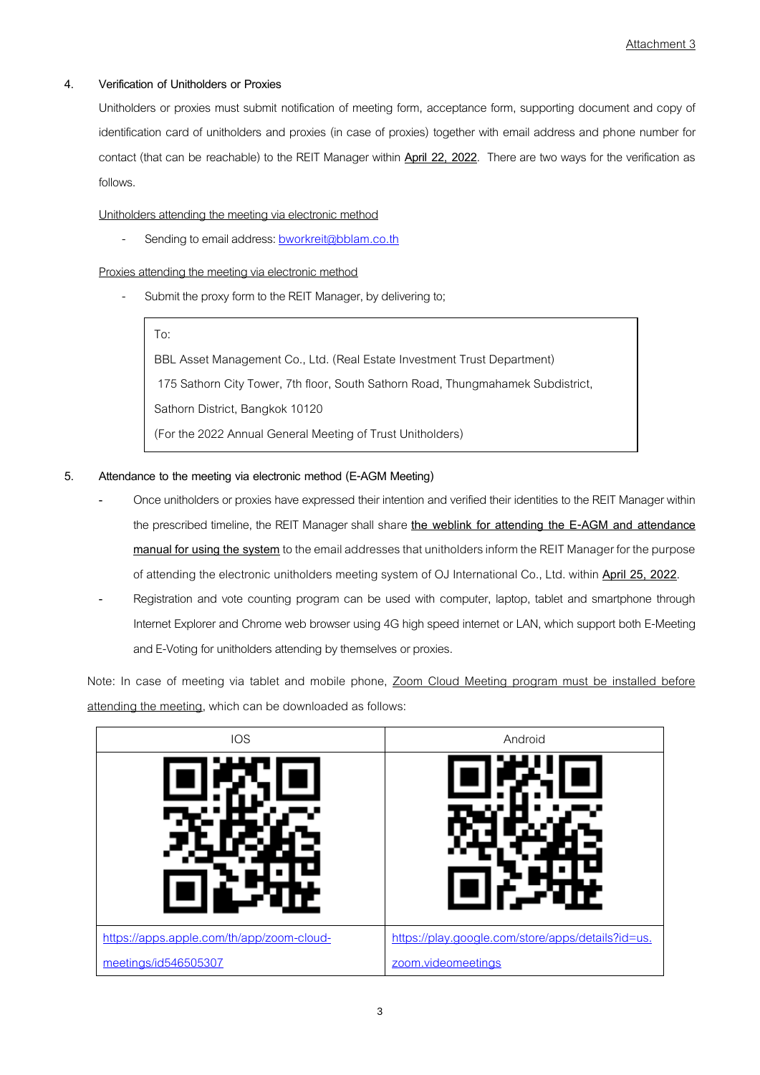## **4. Verification of Unitholders or Proxies**

Unitholders or proxies must submit notification of meeting form, acceptance form, supporting document and copy of identification card of unitholders and proxies (in case of proxies) together with email address and phone number for contact (that can be reachable) to the REIT Manager within **April 22, 2022**. There are two ways for the verification as follows.

## Unitholders attending the meeting via electronic method

Sending to email address[: bworkreit@bblam.co.th](mailto:bworkreit@bblam.co.th)

## Proxies attending the meeting via electronic method

Submit the proxy form to the REIT Manager, by delivering to;

#### To:

BBL Asset Management Co., Ltd. (Real Estate Investment Trust Department) 175 Sathorn City Tower, 7th floor, South Sathorn Road, Thungmahamek Subdistrict, Sathorn District, Bangkok 10120 (For the 2022 Annual General Meeting of Trust Unitholders)

# **5. Attendance to the meeting via electronic method (E-AGM Meeting)**

- Once unitholders or proxies have expressed their intention and verified their identities to the REIT Manager within the prescribed timeline, the REIT Manager shall share **the weblink for attending the E-AGM and attendance manual for using the system** to the email addresses that unitholders inform the REIT Manager for the purpose of attending the electronic unitholders meeting system of OJ International Co., Ltd. within **April 25, 2022**.
- Registration and vote counting program can be used with computer, laptop, tablet and smartphone through Internet Explorer and Chrome web browser using 4G high speed internet or LAN, which support both E-Meeting and E-Voting for unitholders attending by themselves or proxies.

Note: In case of meeting via tablet and mobile phone, Zoom Cloud Meeting program must be installed before attending the meeting, which can be downloaded as follows: